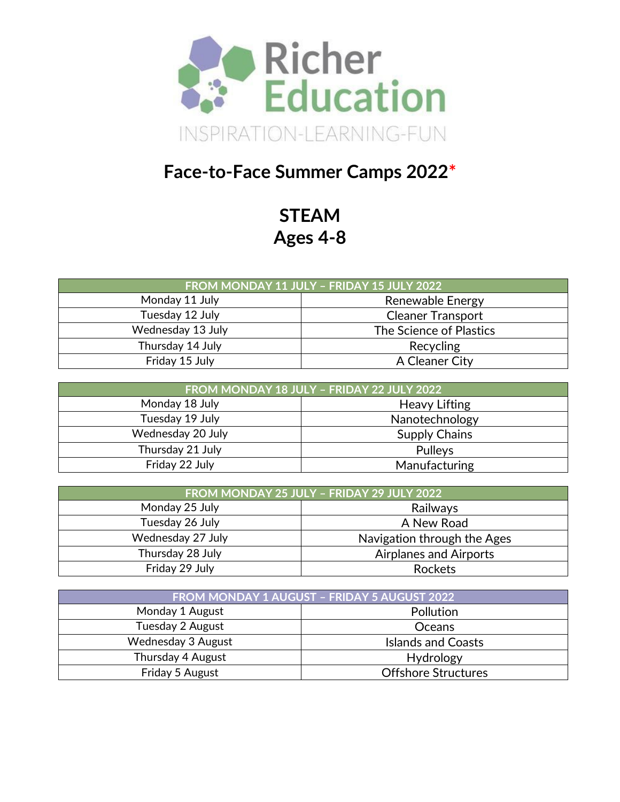

## **Face-to-Face Summer Camps 2022\***

**STEAM Ages 4-8**

| FROM MONDAY 11 JULY - FRIDAY 15 JULY 2022    |                |  |
|----------------------------------------------|----------------|--|
| Monday 11 July<br>Renewable Energy           |                |  |
| Tuesday 12 July<br><b>Cleaner Transport</b>  |                |  |
| Wednesday 13 July<br>The Science of Plastics |                |  |
| Thursday 14 July                             | Recycling      |  |
| Friday 15 July                               | A Cleaner City |  |

| FROM MONDAY 18 JULY - FRIDAY 22 JULY 2022 |                      |  |
|-------------------------------------------|----------------------|--|
| Monday 18 July                            | <b>Heavy Lifting</b> |  |
| Tuesday 19 July                           | Nanotechnology       |  |
| Wednesday 20 July                         | <b>Supply Chains</b> |  |
| Thursday 21 July                          | Pulleys              |  |
| Friday 22 July                            | Manufacturing        |  |

| FROM MONDAY 25 JULY - FRIDAY 29 JULY 2022 |                               |  |
|-------------------------------------------|-------------------------------|--|
| Monday 25 July                            | Railways                      |  |
| Tuesday 26 July<br>A New Road             |                               |  |
| Wednesday 27 July                         | Navigation through the Ages   |  |
| Thursday 28 July                          | <b>Airplanes and Airports</b> |  |
| Friday 29 July                            | Rockets                       |  |

| <b>FROM MONDAY 1 AUGUST - FRIDAY 5 AUGUST 2022</b> |                            |  |
|----------------------------------------------------|----------------------------|--|
| Monday 1 August                                    | <b>Pollution</b>           |  |
| Tuesday 2 August                                   | <b>Oceans</b>              |  |
| Wednesday 3 August                                 | <b>Islands and Coasts</b>  |  |
| Thursday 4 August                                  | Hydrology                  |  |
| Friday 5 August                                    | <b>Offshore Structures</b> |  |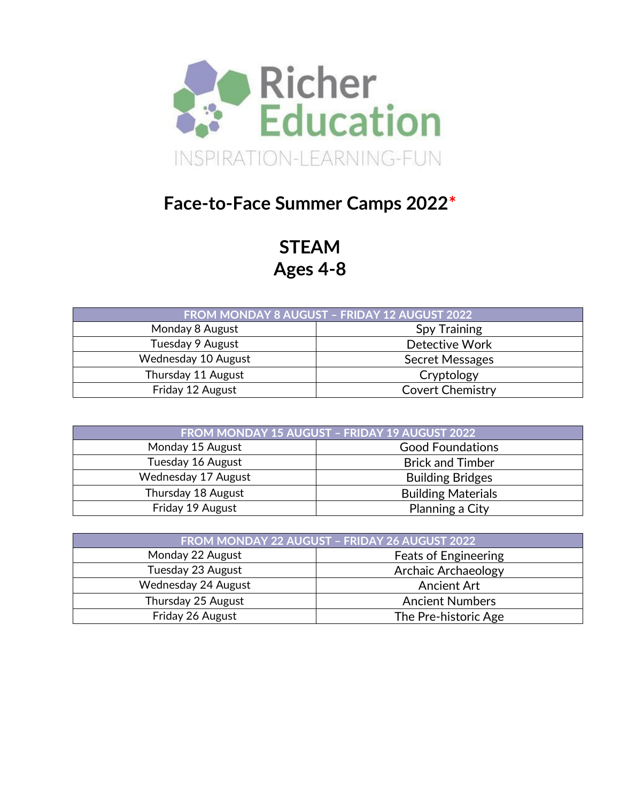

## **Face-to-Face Summer Camps 2022\***

**STEAM Ages 4-8**

| FROM MONDAY 8 AUGUST - FRIDAY 12 AUGUST 2022 |                         |  |
|----------------------------------------------|-------------------------|--|
| Monday 8 August<br><b>Spy Training</b>       |                         |  |
| Tuesday 9 August<br>Detective Work           |                         |  |
| Wednesday 10 August                          | <b>Secret Messages</b>  |  |
| Thursday 11 August                           | Cryptology              |  |
| Friday 12 August                             | <b>Covert Chemistry</b> |  |

| FROM MONDAY 15 AUGUST - FRIDAY 19 AUGUST 2022 |                           |  |
|-----------------------------------------------|---------------------------|--|
| Monday 15 August                              | <b>Good Foundations</b>   |  |
| Tuesday 16 August<br><b>Brick and Timber</b>  |                           |  |
| Wednesday 17 August                           | <b>Building Bridges</b>   |  |
| Thursday 18 August                            | <b>Building Materials</b> |  |
| Friday 19 August                              | Planning a City           |  |

| FROM MONDAY 22 AUGUST - FRIDAY 26 AUGUST 2022   |                             |  |
|-------------------------------------------------|-----------------------------|--|
| Monday 22 August                                | <b>Feats of Engineering</b> |  |
| <b>Archaic Archaeology</b><br>Tuesday 23 August |                             |  |
| Wednesday 24 August                             | <b>Ancient Art</b>          |  |
| Thursday 25 August                              | <b>Ancient Numbers</b>      |  |
| Friday 26 August                                | The Pre-historic Age        |  |